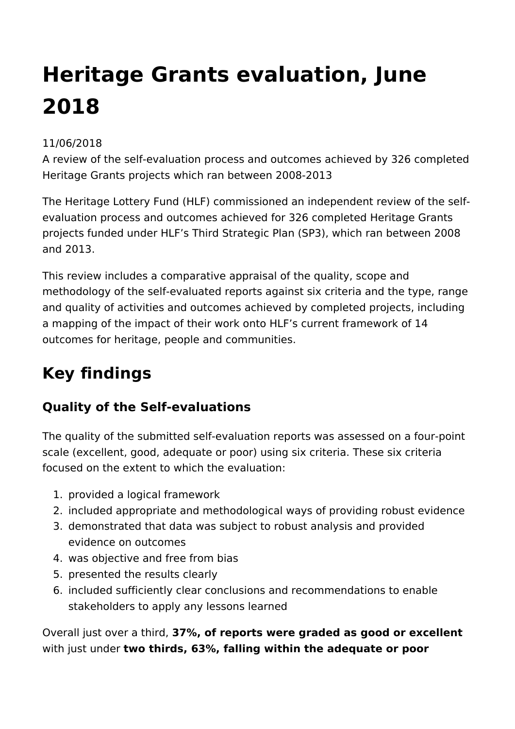# **Heritage Grants evaluation, June 2018**

### 11/06/2018

A review of the self-evaluation process and outcomes achieved by 326 completed Heritage Grants projects which ran between 2008-2013

The Heritage Lottery Fund (HLF) commissioned an independent review of the selfevaluation process and outcomes achieved for 326 completed Heritage Grants projects funded under HLF's Third Strategic Plan (SP3), which ran between 2008 and 2013.

This review includes a comparative appraisal of the quality, scope and methodology of the self-evaluated reports against six criteria and the type, range and quality of activities and outcomes achieved by completed projects, including a mapping of the impact of their work onto HLF's current framework of 14 outcomes for heritage, people and communities.

## **Key findings**

## **Quality of the Self-evaluations**

The quality of the submitted self-evaluation reports was assessed on a four-point scale (excellent, good, adequate or poor) using six criteria. These six criteria focused on the extent to which the evaluation:

- 1. provided a logical framework
- 2. included appropriate and methodological ways of providing robust evidence
- 3. demonstrated that data was subject to robust analysis and provided evidence on outcomes
- 4. was objective and free from bias
- 5. presented the results clearly
- 6. included sufficiently clear conclusions and recommendations to enable stakeholders to apply any lessons learned

Overall just over a third, **37%, of reports were graded as good or excellent** with just under **two thirds, 63%, falling within the adequate or poor**